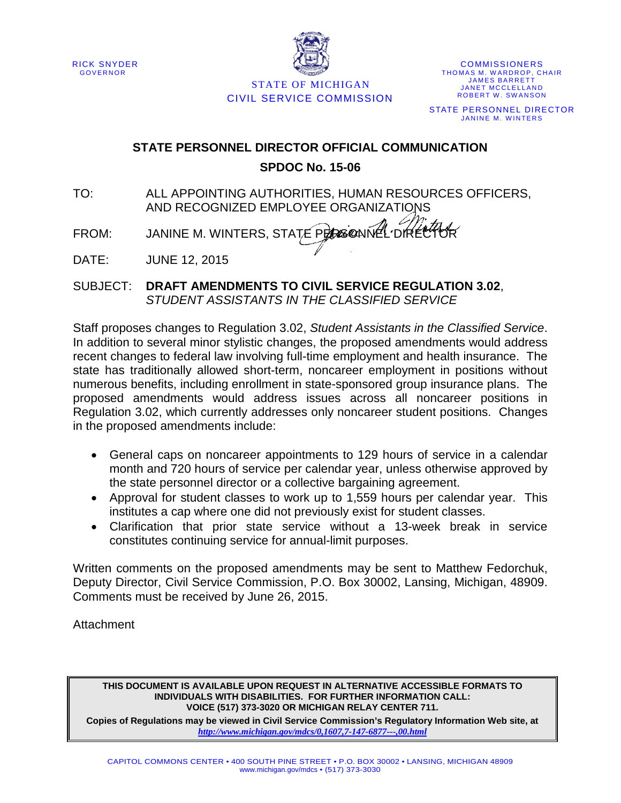RICK SNYDER GOVERNOR



STATE OF MICHIGAN CIVIL SERVICE COMMISSION

COMMISSIONERS THOMAS M. WARDROP, CHAIR JAMES BARRETT JANET MCCLELLAND ROBERT W. SWANSON STATE PERSONNEL DIRECTOR JANINE M. WINTERS

### **STATE PERSONNEL DIRECTOR OFFICIAL COMMUNICATION SPDOC No. 15-06**

- TO: ALL APPOINTING AUTHORITIES, HUMAN RESOURCES OFFICERS, AND RECOGNIZED EMPLOYEE ORGANIZATIONS
- FROM: JANINE M. WINTERS, STATE PERSONNEL DIRET

DATE: JUNE 12, 2015

SUBJECT: **DRAFT AMENDMENTS TO CIVIL SERVICE REGULATION 3.02**, *STUDENT ASSISTANTS IN THE CLASSIFIED SERVICE*

Staff proposes changes to Regulation 3.02, *Student Assistants in the Classified Service*. In addition to several minor stylistic changes, the proposed amendments would address recent changes to federal law involving full-time employment and health insurance. The state has traditionally allowed short-term, noncareer employment in positions without numerous benefits, including enrollment in state-sponsored group insurance plans. The proposed amendments would address issues across all noncareer positions in Regulation 3.02, which currently addresses only noncareer student positions. Changes in the proposed amendments include:

- General caps on noncareer appointments to 129 hours of service in a calendar month and 720 hours of service per calendar year, unless otherwise approved by the state personnel director or a collective bargaining agreement.
- Approval for student classes to work up to 1,559 hours per calendar year. This institutes a cap where one did not previously exist for student classes.
- Clarification that prior state service without a 13-week break in service constitutes continuing service for annual-limit purposes.

Written comments on the proposed amendments may be sent to Matthew Fedorchuk, Deputy Director, Civil Service Commission, P.O. Box 30002, Lansing, Michigan, 48909. Comments must be received by June 26, 2015.

**Attachment** 

**THIS DOCUMENT IS AVAILABLE UPON REQUEST IN ALTERNATIVE ACCESSIBLE FORMATS TO INDIVIDUALS WITH DISABILITIES. FOR FURTHER INFORMATION CALL: VOICE (517) 373-3020 OR MICHIGAN RELAY CENTER 711.**

**Copies of Regulations may be viewed in Civil Service Commission's Regulatory Information Web site, at**  *<http://www.michigan.gov/mdcs/0,1607,7-147-6877---,00.html>*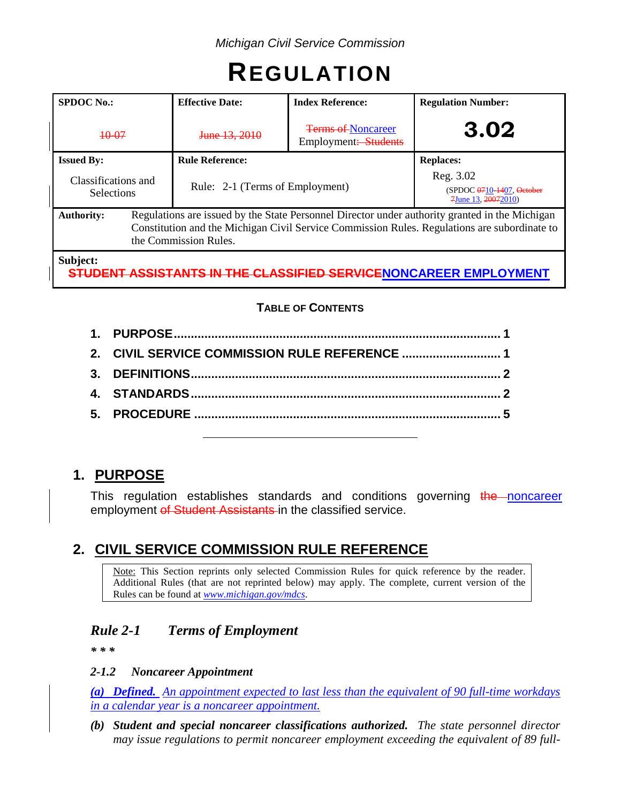# **REGULATION**

| <b>SPDOC No.:</b>                        | <b>Effective Date:</b>                                                                                                                                                                                                  | <b>Index Reference:</b>                           | <b>Regulation Number:</b>                                         |
|------------------------------------------|-------------------------------------------------------------------------------------------------------------------------------------------------------------------------------------------------------------------------|---------------------------------------------------|-------------------------------------------------------------------|
| <del>10-07</del>                         | June 13, 2010                                                                                                                                                                                                           | <b>Terms of Noncareer</b><br>Employment: Students | 3.02                                                              |
| <b>Issued By:</b>                        | <b>Rule Reference:</b>                                                                                                                                                                                                  |                                                   | <b>Replaces:</b>                                                  |
| Classifications and<br><b>Selections</b> | Rule: 2-1 (Terms of Employment)                                                                                                                                                                                         |                                                   | Reg. 3.02<br>(SPDOC 0710-1407, October<br>$7$ June 13, $20072010$ |
| <b>Authority:</b>                        | Regulations are issued by the State Personnel Director under authority granted in the Michigan<br>Constitution and the Michigan Civil Service Commission Rules. Regulations are subordinate to<br>the Commission Rules. |                                                   |                                                                   |
| Subject:                                 |                                                                                                                                                                                                                         |                                                   |                                                                   |

**STUDENT ASSISTANTS IN THE CLASSIFIED SERVICENONCAREER EMPLOYMENT**

#### **TABLE OF CONTENTS**

# **1. PURPOSE**

This regulation establishes standards and conditions governing the noncareer employment of Student Assistants in the classified service.

# **2. CIVIL SERVICE COMMISSION RULE REFERENCE**

Note: This Section reprints only selected Commission Rules for quick reference by the reader. Additional Rules (that are not reprinted below) may apply. The complete, current version of the Rules can be found at *[www.michigan.gov/mdcs](http://www.michigan.gov/mdcs)*.

## *Rule 2-1 Terms of Employment*

*\* \* \**

#### *2-1.2 Noncareer Appointment*

*(a) Defined. An appointment expected to last less than the equivalent of 90 full-time workdays in a calendar year is a noncareer appointment.*

*(b) Student and special noncareer classifications authorized. The state personnel director may issue regulations to permit noncareer employment exceeding the equivalent of 89 full-*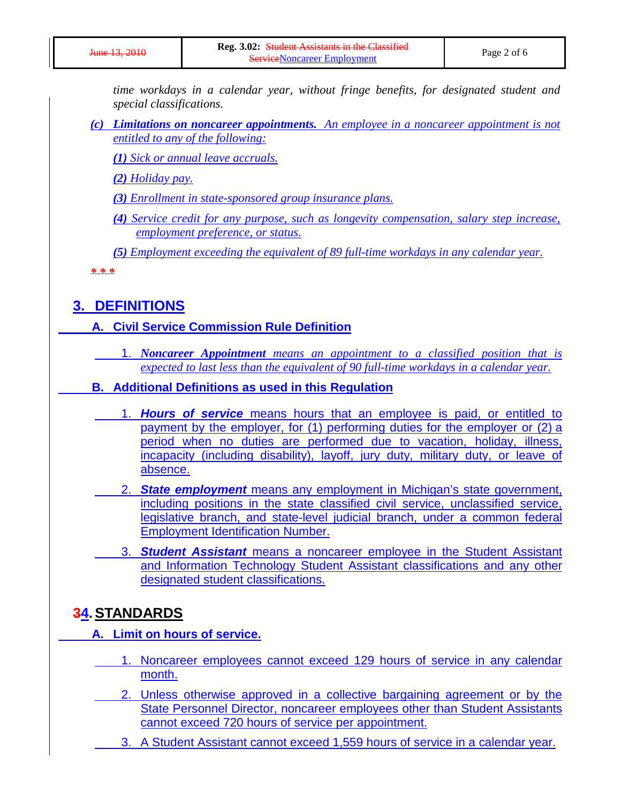*time workdays in a calendar year, without fringe benefits, for designated student and special classifications.*

*(c) Limitations on noncareer appointments. An employee in a noncareer appointment is not entitled to any of the following:*

*(1) Sick or annual leave accruals.* 

*(2) Holiday pay.* 

*(3) Enrollment in state-sponsored group insurance plans.* 

*(4) Service credit for any purpose, such as longevity compensation, salary step increase, employment preference, or status.* 

*(5) Employment exceeding the equivalent of 89 full-time workdays in any calendar year.*

*\* \* \**

## **3. DEFINITIONS**

#### **A. Civil Service Commission Rule Definition**

1. *Noncareer Appointment means an appointment to a classified position that is expected to last less than the equivalent of 90 full-time workdays in a calendar year.*

#### **B. Additional Definitions as used in this Regulation**

- 1. *Hours of service* means hours that an employee is paid, or entitled to payment by the employer, for (1) performing duties for the employer or (2) a period when no duties are performed due to vacation, holiday, illness, incapacity (including disability), layoff, jury duty, military duty, or leave of absence.
- 2. *State employment* means any employment in Michigan's state government, including positions in the state classified civil service, unclassified service, legislative branch, and state-level judicial branch, under a common federal Employment Identification Number.
- 3. *Student Assistant* means a noncareer employee in the Student Assistant and Information Technology Student Assistant classifications and any other designated student classifications.

#### **34.STANDARDS**

**A. Limit on hours of service.**

- 1. Noncareer employees cannot exceed 129 hours of service in any calendar month.
- 2. Unless otherwise approved in a collective bargaining agreement or by the State Personnel Director, noncareer employees other than Student Assistants cannot exceed 720 hours of service per appointment.
	- 3. A Student Assistant cannot exceed 1,559 hours of service in a calendar year.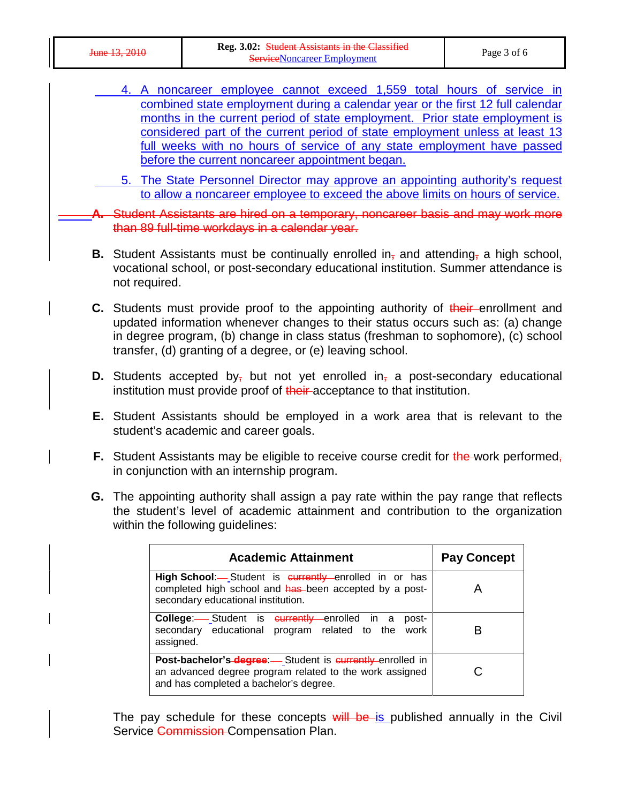| $\frac{1}{2}$ 12 2010<br><del>June 19. 2010</del> | <b>Reg. 3.02: Student Assistants in the Classified</b><br><b>Service Noncareer Employment</b> | Page 3 of 6 |
|---------------------------------------------------|-----------------------------------------------------------------------------------------------|-------------|
|---------------------------------------------------|-----------------------------------------------------------------------------------------------|-------------|

- 4. A noncareer employee cannot exceed 1,559 total hours of service in combined state employment during a calendar year or the first 12 full calendar months in the current period of state employment. Prior state employment is considered part of the current period of state employment unless at least 13 full weeks with no hours of service of any state employment have passed before the current noncareer appointment began.
- 5. The State Personnel Director may approve an appointing authority's request to allow a noncareer employee to exceed the above limits on hours of service.
- **A.** Student Assistants are hired on a temporary, noncareer basis and may work more than 89 full-time workdays in a calendar year.
- **B.** Student Assistants must be continually enrolled in, and attending, a high school, vocational school, or post-secondary educational institution. Summer attendance is not required.
- **C.** Students must provide proof to the appointing authority of their enrollment and updated information whenever changes to their status occurs such as: (a) change in degree program, (b) change in class status (freshman to sophomore), (c) school transfer, (d) granting of a degree, or (e) leaving school.
- **D.** Students accepted by, but not yet enrolled in, a post-secondary educational institution must provide proof of their-acceptance to that institution.
- **E.** Student Assistants should be employed in a work area that is relevant to the student's academic and career goals.
- **F.** Student Assistants may be eligible to receive course credit for the work performed, in conjunction with an internship program.
- **G.** The appointing authority shall assign a pay rate within the pay range that reflects the student's level of academic attainment and contribution to the organization within the following guidelines:

| <b>Academic Attainment</b>                                                                                                                                                    | <b>Pay Concept</b> |
|-------------------------------------------------------------------------------------------------------------------------------------------------------------------------------|--------------------|
| High School:- Student is currently enrolled in or has<br>completed high school and has been accepted by a post-<br>secondary educational institution.                         |                    |
| <b>College:</b> Student is <b>eurrently</b> enrolled in a<br>post-<br>secondary educational program related to the work<br>assigned.                                          |                    |
| <b>Post-bachelor's-degree</b> - Student is <b>currently</b> -enrolled in<br>an advanced degree program related to the work assigned<br>and has completed a bachelor's degree. |                    |

The pay schedule for these concepts will be is published annually in the Civil Service Commission-Compensation Plan.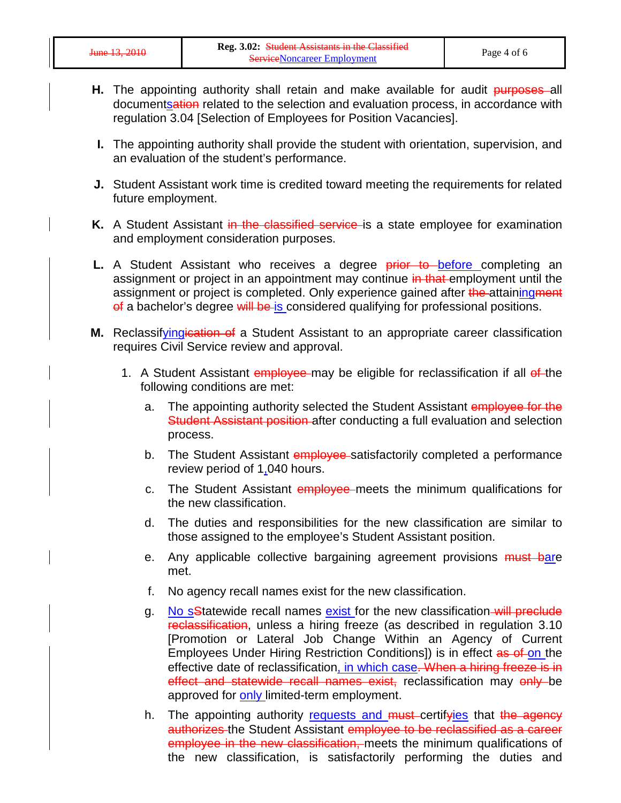- **H.** The appointing authority shall retain and make available for audit purposes all documentsation related to the selection and evaluation process, in accordance with regulation 3.04 [Selection of Employees for Position Vacancies].
- **I.** The appointing authority shall provide the student with orientation, supervision, and an evaluation of the student's performance.
- **J.** Student Assistant work time is credited toward meeting the requirements for related future employment.
- **K.** A Student Assistant in the classified service is a state employee for examination and employment consideration purposes.
- **L.** A Student Assistant who receives a degree prior to before completing an assignment or project in an appointment may continue in that employment until the assignment or project is completed. Only experience gained after the attaining ment of a bachelor's degree will be is considered qualifying for professional positions.
- M. Reclassifyingication of a Student Assistant to an appropriate career classification requires Civil Service review and approval.
	- 1. A Student Assistant employee may be eligible for reclassification if all of the following conditions are met:
		- a. The appointing authority selected the Student Assistant employee for the Student Assistant position after conducting a full evaluation and selection process.
		- b. The Student Assistant employee satisfactorily completed a performance review period of 1,040 hours.
		- c. The Student Assistant employee meets the minimum qualifications for the new classification.
		- d. The duties and responsibilities for the new classification are similar to those assigned to the employee's Student Assistant position.
		- e. Any applicable collective bargaining agreement provisions must bare met.
		- f. No agency recall names exist for the new classification.
		- g. No sStatewide recall names exist for the new classification-will preclude reclassification, unless a hiring freeze (as described in regulation 3.10 [Promotion or Lateral Job Change Within an Agency of Current Employees Under Hiring Restriction Conditions]) is in effect as of on the effective date of reclassification, in which case. When a hiring freeze is in effect and statewide recall names exist, reclassification may only be approved for only limited-term employment.
		- h. The appointing authority requests and must-certifyies that the agency authorizes the Student Assistant employee to be reclassified as a career employee in the new classification, meets the minimum qualifications of the new classification, is satisfactorily performing the duties and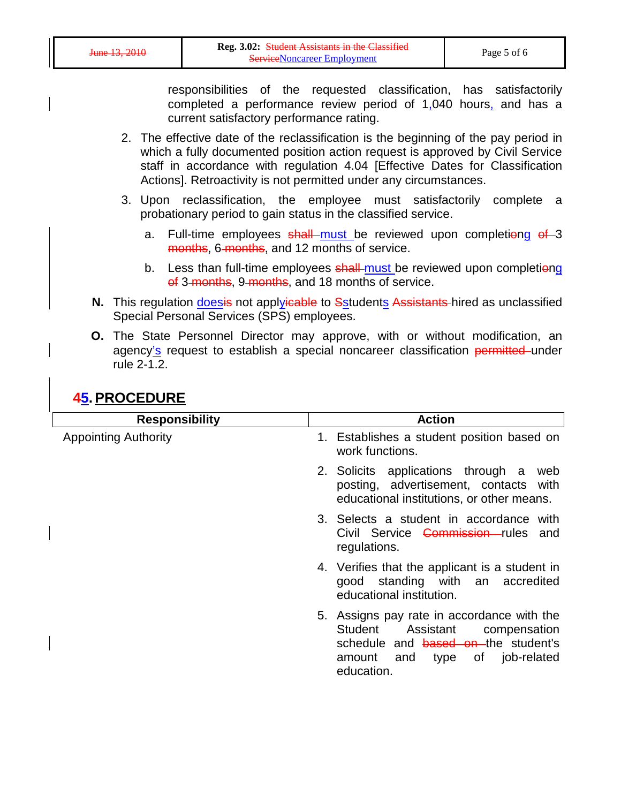responsibilities of the requested classification, has satisfactorily completed a performance review period of 1,040 hours, and has a current satisfactory performance rating.

- 2. The effective date of the reclassification is the beginning of the pay period in which a fully documented position action request is approved by Civil Service staff in accordance with regulation 4.04 [Effective Dates for Classification Actions]. Retroactivity is not permitted under any circumstances.
- 3. Upon reclassification, the employee must satisfactorily complete a probationary period to gain status in the classified service.
	- a. Full-time employees shall must be reviewed upon completiong of 3 months, 6-months, and 12 months of service.
	- b. Less than full-time employees shall must be reviewed upon completiong of 3 months, 9 months, and 18 months of service.
- **N.** This regulation *doesis* not applyicable to Sstudents Assistants hired as unclassified Special Personal Services (SPS) employees.
- **O.** The State Personnel Director may approve, with or without modification, an agency's request to establish a special noncareer classification permitted under rule 2-1.2.

# **45.PROCEDURE**

| <b>Responsibility</b>       | <b>Action</b>                                                                                                                                                             |
|-----------------------------|---------------------------------------------------------------------------------------------------------------------------------------------------------------------------|
| <b>Appointing Authority</b> | 1. Establishes a student position based on<br>work functions.                                                                                                             |
|                             | 2. Solicits applications through a<br>web<br>posting, advertisement, contacts with<br>educational institutions, or other means.                                           |
|                             | 3. Selects a student in accordance with<br>Civil Service Commission rules and<br>regulations.                                                                             |
|                             | 4. Verifies that the applicant is a student in<br>good standing with an accredited<br>educational institution.                                                            |
|                             | 5. Assigns pay rate in accordance with the<br>Student<br>Assistant<br>compensation<br>schedule and based on the student's<br>amount and type of job-related<br>education. |